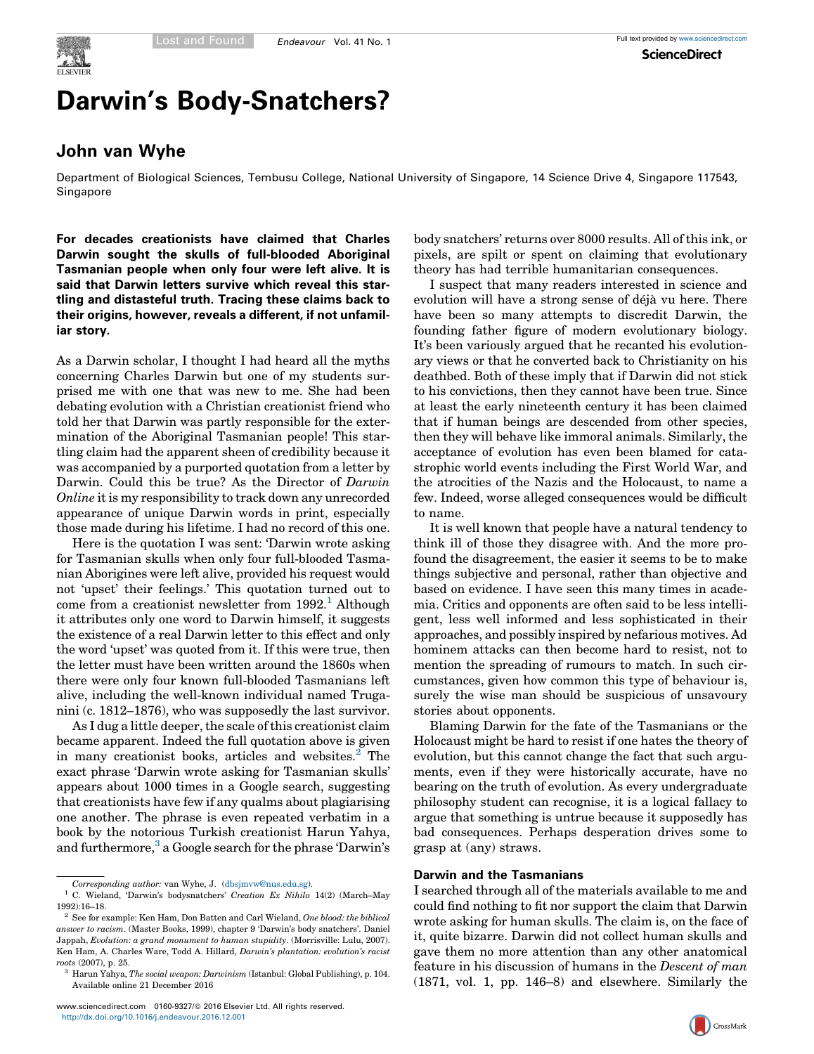## Darwin's Body-Snatchers?

## John van Wyhe

Department of Biological Sciences, Tembusu College, National University of Singapore, 14 Science Drive 4, Singapore 117543, Singapore

For decades creationists have claimed that Charles Darwin sought the skulls of full-blooded Aboriginal Tasmanian people when only four were left alive. It is said that Darwin letters survive which reveal this startling and distasteful truth. Tracing these claims back to their origins, however, reveals a different, if not unfamiliar story.

As a Darwin scholar, I thought I had heard all the myths concerning Charles Darwin but one of my students surprised me with one that was new to me. She had been debating evolution with a Christian creationist friend who told her that Darwin was partly responsible for the extermination of the Aboriginal Tasmanian people! This startling claim had the apparent sheen of credibility because it was accompanied by a purported quotation from a letter by Darwin. Could this be true? As the Director of Darwin Online it is my responsibility to track down any unrecorded appearance of unique Darwin words in print, especially those made during his lifetime. I had no record of this one.

Here is the quotation I was sent: 'Darwin wrote asking for Tasmanian skulls when only four full-blooded Tasmanian Aborigines were left alive, provided his request would not 'upset' their feelings.' This quotation turned out to come from a creationist newsletter from  $1992<sup>1</sup>$  Although it attributes only one word to Darwin himself, it suggests the existence of a real Darwin letter to this effect and only the word 'upset' was quoted from it. If this were true, then the letter must have been written around the 1860s when there were only four known full-blooded Tasmanians left alive, including the well-known individual named Truganini (c. 1812–1876), who was supposedly the last survivor.

As I dug a little deeper, the scale of this creationist claim became apparent. Indeed the full quotation above is given in many creationist books, articles and websites. $^{2}$  The exact phrase 'Darwin wrote asking for Tasmanian skulls' appears about 1000 times in a Google search, suggesting that creationists have few if any qualms about plagiarising one another. The phrase is even repeated verbatim in a book by the notorious Turkish creationist Harun Yahya, and furthermore, $3a$  Google search for the phrase 'Darwin's body snatchers' returns over 8000 results. All of this ink, or pixels, are spilt or spent on claiming that evolutionary theory has had terrible humanitarian consequences.

I suspect that many readers interested in science and evolution will have a strong sense of déjà vu here. There have been so many attempts to discredit Darwin, the founding father figure of modern evolutionary biology. It's been variously argued that he recanted his evolutionary views or that he converted back to Christianity on his deathbed. Both of these imply that if Darwin did not stick to his convictions, then they cannot have been true. Since at least the early nineteenth century it has been claimed that if human beings are descended from other species, then they will behave like immoral animals. Similarly, the acceptance of evolution has even been blamed for catastrophic world events including the First World War, and the atrocities of the Nazis and the Holocaust, to name a few. Indeed, worse alleged consequences would be difficult to name.

It is well known that people have a natural tendency to think ill of those they disagree with. And the more profound the disagreement, the easier it seems to be to make things subjective and personal, rather than objective and based on evidence. I have seen this many times in academia. Critics and opponents are often said to be less intelligent, less well informed and less sophisticated in their approaches, and possibly inspired by nefarious motives. Ad hominem attacks can then become hard to resist, not to mention the spreading of rumours to match. In such circumstances, given how common this type of behaviour is, surely the wise man should be suspicious of unsavoury stories about opponents.

Blaming Darwin for the fate of the Tasmanians or the Holocaust might be hard to resist if one hates the theory of evolution, but this cannot change the fact that such arguments, even if they were historically accurate, have no bearing on the truth of evolution. As every undergraduate philosophy student can recognise, it is a logical fallacy to argue that something is untrue because it supposedly has bad consequences. Perhaps desperation drives some to grasp at (any) straws.

## Darwin and the Tasmanians

I searched through all of the materials available to me and could find nothing to fit nor support the claim that Darwin wrote asking for human skulls. The claim is, on the face of it, quite bizarre. Darwin did not collect human skulls and gave them no more attention than any other anatomical feature in his discussion of humans in the Descent of man (1871, vol. 1, pp. 146–8) and elsewhere. Similarly the

Corresponding author: van Wyhe, J. [\(dbsjmvw@nus.edu.sg\)](mailto:dbsjmvw@nus.edu.sg).

<sup>1</sup> C. Wieland, 'Darwin's bodysnatchers' Creation Ex Nihilo 14(2) (March–May 1992):16–18.

 $2^{2}$  See for example: Ken Ham, Don Batten and Carl Wieland, One blood: the biblical answer to racism. (Master Books, 1999), chapter 9 'Darwin's body snatchers'. Daniel Jappah, Evolution: a grand monument to human stupidity. (Morrisville: Lulu, 2007). Ken Ham, A. Charles Ware, Todd A. Hillard, Darwin's plantation: evolution's racist roots (2007), p. 25.

 $^3\,$  Harun Yahya, The social weapon: Darwinism (Istanbul: Global Publishing), p. 104. Available online 21 December 2016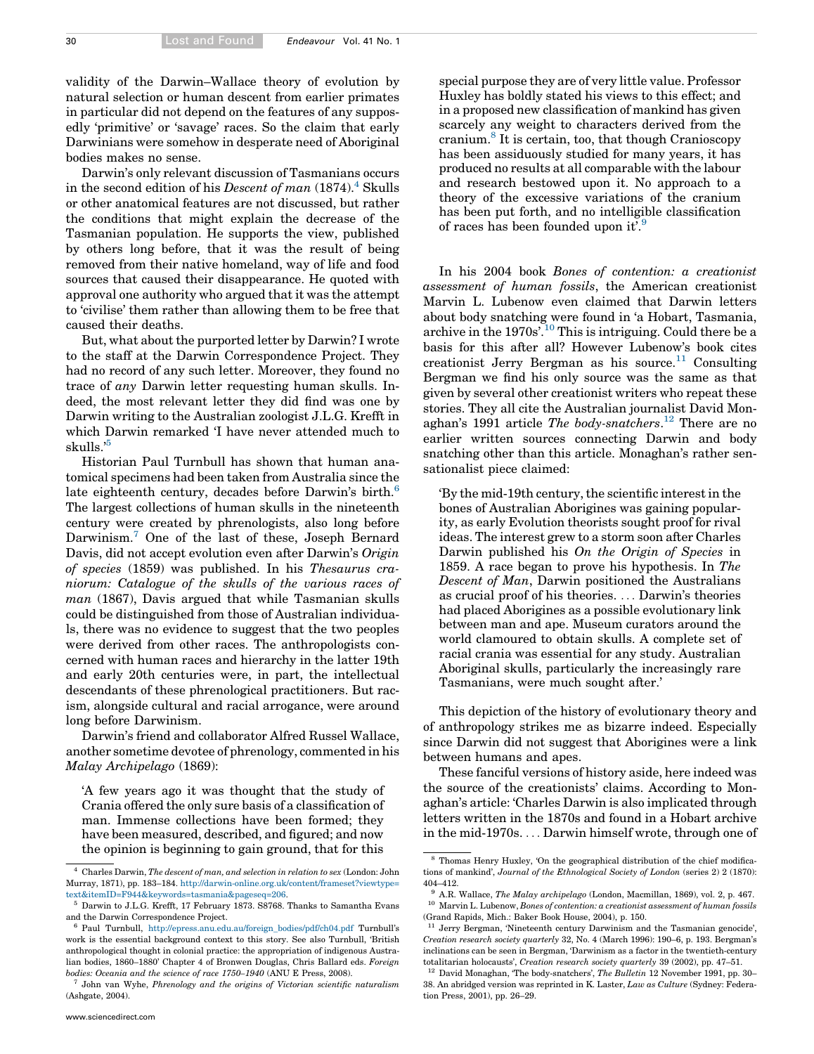validity of the Darwin–Wallace theory of evolution by natural selection or human descent from earlier primates in particular did not depend on the features of any supposedly 'primitive' or 'savage' races. So the claim that early Darwinians were somehow in desperate need of Aboriginal bodies makes no sense.

Darwin's only relevant discussion of Tasmanians occurs in the second edition of his *Descent of man*  $(1874)$ .<sup>4</sup> Skulls or other anatomical features are not discussed, but rather the conditions that might explain the decrease of the Tasmanian population. He supports the view, published by others long before, that it was the result of being removed from their native homeland, way of life and food sources that caused their disappearance. He quoted with approval one authority who argued that it was the attempt to 'civilise' them rather than allowing them to be free that caused their deaths.

But, what about the purported letter by Darwin? I wrote to the staff at the Darwin Correspondence Project. They had no record of any such letter. Moreover, they found no trace of any Darwin letter requesting human skulls. Indeed, the most relevant letter they did find was one by Darwin writing to the Australian zoologist J.L.G. Krefft in which Darwin remarked 'I have never attended much to skulls.'<sup>5</sup>

Historian Paul Turnbull has shown that human anatomical specimens had been taken from Australia since the late eighteenth century, decades before Darwin's birth. $6$ The largest collections of human skulls in the nineteenth century were created by phrenologists, also long before Darwinism.<sup>7</sup> One of the last of these, Joseph Bernard Davis, did not accept evolution even after Darwin's Origin of species (1859) was published. In his Thesaurus craniorum: Catalogue of the skulls of the various races of man (1867), Davis argued that while Tasmanian skulls could be distinguished from those of Australian individuals, there was no evidence to suggest that the two peoples were derived from other races. The anthropologists concerned with human races and hierarchy in the latter 19th and early 20th centuries were, in part, the intellectual descendants of these phrenological practitioners. But racism, alongside cultural and racial arrogance, were around long before Darwinism.

Darwin's friend and collaborator Alfred Russel Wallace, another sometime devotee of phrenology, commented in his Malay Archipelago (1869):

'A few years ago it was thought that the study of Crania offered the only sure basis of a classification of man. Immense collections have been formed; they have been measured, described, and figured; and now the opinion is beginning to gain ground, that for this

special purpose they are of very little value. Professor Huxley has boldly stated his views to this effect; and in a proposed new classification of mankind has given scarcely any weight to characters derived from the cranium.8 It is certain, too, that though Cranioscopy has been assiduously studied for many years, it has produced no results at all comparable with the labour and research bestowed upon it. No approach to a theory of the excessive variations of the cranium has been put forth, and no intelligible classification of races has been founded upon it'.<sup>9</sup>

In his 2004 book Bones of contention: a creationist assessment of human fossils, the American creationist Marvin L. Lubenow even claimed that Darwin letters about body snatching were found in 'a Hobart, Tasmania, archive in the  $1970s$ .<sup>10</sup> This is intriguing. Could there be a basis for this after all? However Lubenow's book cites creationist Jerry Bergman as his source.<sup>11</sup> Consulting Bergman we find his only source was the same as that given by several other creationist writers who repeat these stories. They all cite the Australian journalist David Monaghan's 1991 article The body-snatchers.<sup>12</sup> There are no earlier written sources connecting Darwin and body snatching other than this article. Monaghan's rather sensationalist piece claimed:

'By the mid-19th century, the scientific interest in the bones of Australian Aborigines was gaining popularity, as early Evolution theorists sought proof for rival ideas. The interest grew to a storm soon after Charles Darwin published his On the Origin of Species in 1859. A race began to prove his hypothesis. In The Descent of Man, Darwin positioned the Australians as crucial proof of his theories. . . . Darwin's theories had placed Aborigines as a possible evolutionary link between man and ape. Museum curators around the world clamoured to obtain skulls. A complete set of racial crania was essential for any study. Australian Aboriginal skulls, particularly the increasingly rare Tasmanians, were much sought after.'

This depiction of the history of evolutionary theory and of anthropology strikes me as bizarre indeed. Especially since Darwin did not suggest that Aborigines were a link between humans and apes.

These fanciful versions of history aside, here indeed was the source of the creationists' claims. According to Monaghan's article: 'Charles Darwin is also implicated through letters written in the 1870s and found in a Hobart archive in the mid-1970s. . . . Darwin himself wrote, through one of

<sup>4</sup> Charles Darwin, The descent of man, and selection in relation to sex (London: John Murray, 1871), pp. 183–184. [http://darwin-online.org.uk/content/frameset?viewtype=](http://darwin-online.org.uk/content/frameset?viewtype=text&itemID=F944&keywords=tasmania&pageseq=206)

[text&itemID=F944&keywords=tasmania&pageseq=206](http://darwin-online.org.uk/content/frameset?viewtype=text&itemID=F944&keywords=tasmania&pageseq=206). <sup>5</sup> Darwin to J.L.G. Krefft, 17 February 1873. S8768. Thanks to Samantha Evans and the Darwin Correspondence Project.

Paul Turnbull, [http://epress.anu.edu.au/foreign\\_bodies/pdf/ch04.pdf](http://epress.anu.edu.au/foreign_bodies/pdf/ch04.pdf) Turnbull's work is the essential background context to this story. See also Turnbull, 'British anthropological thought in colonial practice: the appropriation of indigenous Australian bodies, 1860–1880' Chapter 4 of Bronwen Douglas, Chris Ballard eds. Foreign bodies: Oceania and the science of race 1750–1940 (ANU E Press, 2008).

 $<sup>7</sup>$  John van Wyhe, *Phrenology and the origins of Victorian scientific naturalism*</sup> (Ashgate, 2004).

<sup>8</sup> Thomas Henry Huxley, 'On the geographical distribution of the chief modifications of mankind', Journal of the Ethnological Society of London (series 2) 2 (1870): 404–412.

<sup>9</sup> A.R. Wallace, The Malay archipelago (London, Macmillan, 1869), vol. 2, p. 467. <sup>10</sup> Marvin L. Lubenow, *Bones of contention: a creationist assessment of human fossils* (Grand Rapids, Mich.: Baker Book House, 2004), p. 150.

<sup>11</sup> Jerry Bergman, 'Nineteenth century Darwinism and the Tasmanian genocide', Creation research society quarterly 32, No. 4 (March 1996): 190–6, p. 193. Bergman's inclinations can be seen in Bergman, 'Darwinism as a factor in the twentieth-century totalitarian holocausts', Creation research society quarterly 39 (2002), pp. 47–51.

<sup>&</sup>lt;sup>12</sup> David Monaghan, 'The body-snatchers', The Bulletin 12 November 1991, pp. 30-38. An abridged version was reprinted in K. Laster, Law as Culture (Sydney: Federation Press, 2001), pp. 26–29.